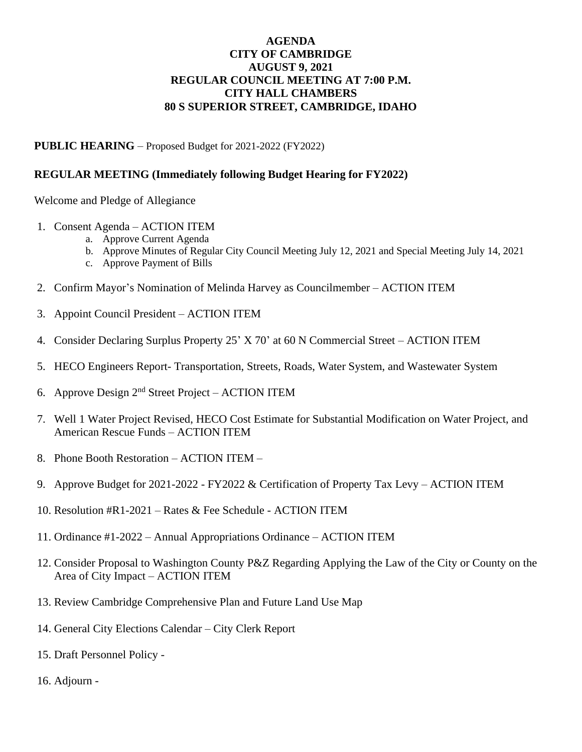## **AGENDA CITY OF CAMBRIDGE AUGUST 9, 2021 REGULAR COUNCIL MEETING AT 7:00 P.M. CITY HALL CHAMBERS 80 S SUPERIOR STREET, CAMBRIDGE, IDAHO**

**PUBLIC HEARING** – Proposed Budget for 2021-2022 (FY2022)

## **REGULAR MEETING (Immediately following Budget Hearing for FY2022)**

Welcome and Pledge of Allegiance

- 1. Consent Agenda ACTION ITEM
	- a. Approve Current Agenda
	- b. Approve Minutes of Regular City Council Meeting July 12, 2021 and Special Meeting July 14, 2021
	- c. Approve Payment of Bills
- 2. Confirm Mayor's Nomination of Melinda Harvey as Councilmember ACTION ITEM
- 3. Appoint Council President ACTION ITEM
- 4. Consider Declaring Surplus Property 25' X 70' at 60 N Commercial Street ACTION ITEM
- 5. HECO Engineers Report- Transportation, Streets, Roads, Water System, and Wastewater System
- 6. Approve Design  $2<sup>nd</sup>$  Street Project ACTION ITEM
- 7. Well 1 Water Project Revised, HECO Cost Estimate for Substantial Modification on Water Project, and American Rescue Funds – ACTION ITEM
- 8. Phone Booth Restoration ACTION ITEM –
- 9. Approve Budget for 2021-2022 FY2022 & Certification of Property Tax Levy ACTION ITEM
- 10. Resolution #R1-2021 Rates & Fee Schedule ACTION ITEM
- 11. Ordinance #1-2022 Annual Appropriations Ordinance ACTION ITEM
- 12. Consider Proposal to Washington County P&Z Regarding Applying the Law of the City or County on the Area of City Impact – ACTION ITEM
- 13. Review Cambridge Comprehensive Plan and Future Land Use Map
- 14. General City Elections Calendar City Clerk Report
- 15. Draft Personnel Policy -
- 16. Adjourn -